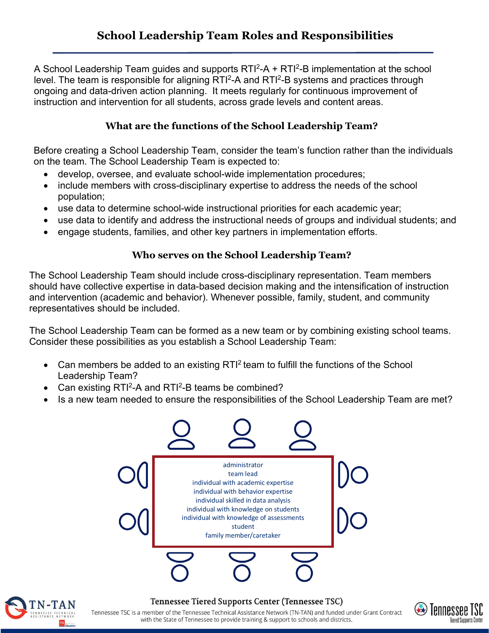A School Leadership Team guides and supports  $RTI^2-A + RTI^2-B$  implementation at the school level. The team is responsible for aligning RTI<sup>2</sup>-A and RTI<sup>2</sup>-B systems and practices through ongoing and data-driven action planning. It meets regularly for continuous improvement of instruction and intervention for all students, across grade levels and content areas.

## **What are the functions of the School Leadership Team?**

Before creating a School Leadership Team, consider the team's function rather than the individuals on the team. The School Leadership Team is expected to:

- develop, oversee, and evaluate school-wide implementation procedures;
- include members with cross-disciplinary expertise to address the needs of the school population;
- use data to determine school-wide instructional priorities for each academic year;
- use data to identify and address the instructional needs of groups and individual students; and
- engage students, families, and other key partners in implementation efforts.

## **Who serves on the School Leadership Team?**

The School Leadership Team should include cross-disciplinary representation. Team members should have collective expertise in data-based decision making and the intensification of instruction and intervention (academic and behavior). Whenever possible, family, student, and community representatives should be included.

The School Leadership Team can be formed as a new team or by combining existing school teams. Consider these possibilities as you establish a School Leadership Team:

- Can members be added to an existing RTI<sup>2</sup> team to fulfill the functions of the School Leadership Team?
- Can existing RTI<sup>2</sup>-A and RTI<sup>2</sup>-B teams be combined?
- Is a new team needed to ensure the responsibilities of the School Leadership Team are met?





## Tennessee Tiered Supports Center (Tennessee TSC)

Tennessee TSC is a member of the Tennessee Technical Assistance Network (TN-TAN) and funded under Grant Contract with the State of Tennessee to provide training & support to schools and districts.